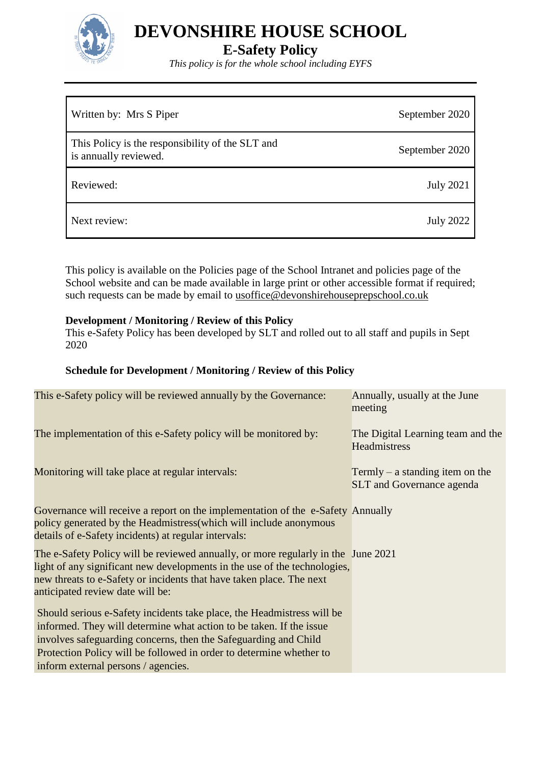

# **E-Safety Policy**

*This policy is for the whole school including EYFS*

| Written by: Mrs S Piper                                                   | September 2020   |
|---------------------------------------------------------------------------|------------------|
| This Policy is the responsibility of the SLT and<br>is annually reviewed. | September 2020   |
| Reviewed:                                                                 | <b>July 2021</b> |
| Next review:                                                              | <b>July 2022</b> |

This policy is available on the Policies page of the School Intranet and policies page of the School website and can be made available in large print or other accessible format if required; such requests can be made by email to usoffice@devonshirehouseprepschool.co.uk

#### **Development / Monitoring / Review of this Policy**

This e-Safety Policy has been developed by SLT and rolled out to all staff and pupils in Sept 2020

#### **Schedule for Development / Monitoring / Review of this Policy**

| This e-Safety policy will be reviewed annually by the Governance:                                                                                                                                                                                                                                                              | Annually, usually at the June<br>meeting                            |
|--------------------------------------------------------------------------------------------------------------------------------------------------------------------------------------------------------------------------------------------------------------------------------------------------------------------------------|---------------------------------------------------------------------|
| The implementation of this e-Safety policy will be monitored by:                                                                                                                                                                                                                                                               | The Digital Learning team and the<br>Headmistress                   |
| Monitoring will take place at regular intervals:                                                                                                                                                                                                                                                                               | Termly – a standing item on the<br><b>SLT</b> and Governance agenda |
| Governance will receive a report on the implementation of the e-Safety Annually<br>policy generated by the Headmistress (which will include anonymous<br>details of e-Safety incidents) at regular intervals:                                                                                                                  |                                                                     |
| The e-Safety Policy will be reviewed annually, or more regularly in the June 2021<br>light of any significant new developments in the use of the technologies,<br>new threats to e-Safety or incidents that have taken place. The next<br>anticipated review date will be:                                                     |                                                                     |
| Should serious e-Safety incidents take place, the Headmistress will be<br>informed. They will determine what action to be taken. If the issue<br>involves safeguarding concerns, then the Safeguarding and Child<br>Protection Policy will be followed in order to determine whether to<br>inform external persons / agencies. |                                                                     |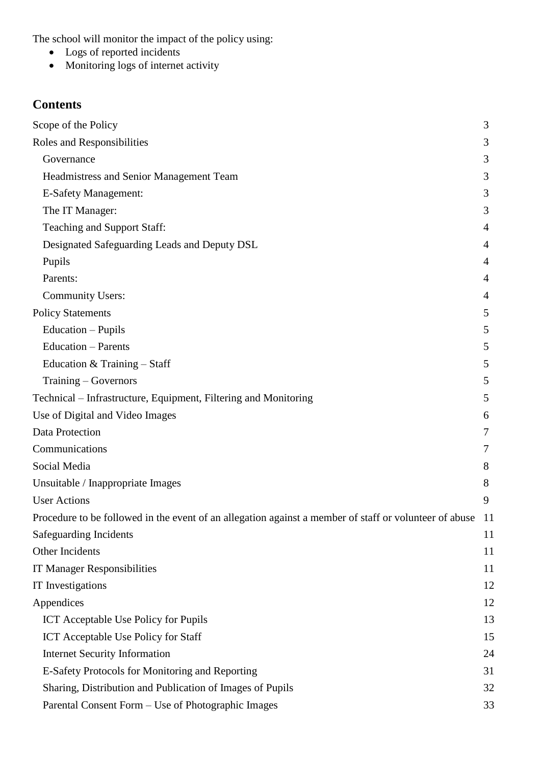The school will monitor the impact of the policy using:

- Logs of reported incidents
- Monitoring logs of internet activity

# **Contents**

| Scope of the Policy                                                                                    | 3              |
|--------------------------------------------------------------------------------------------------------|----------------|
| Roles and Responsibilities                                                                             | 3              |
| Governance                                                                                             | 3              |
| Headmistress and Senior Management Team                                                                | 3              |
| <b>E-Safety Management:</b>                                                                            | 3              |
| The IT Manager:                                                                                        | 3              |
| Teaching and Support Staff:                                                                            | 4              |
| Designated Safeguarding Leads and Deputy DSL                                                           | 4              |
| Pupils                                                                                                 | $\overline{4}$ |
| Parents:                                                                                               | $\overline{4}$ |
| <b>Community Users:</b>                                                                                | 4              |
| <b>Policy Statements</b>                                                                               | 5              |
| Education - Pupils                                                                                     | 5              |
| <b>Education – Parents</b>                                                                             | 5              |
| Education & Training - Staff                                                                           | 5              |
| Training – Governors                                                                                   | 5              |
| Technical – Infrastructure, Equipment, Filtering and Monitoring                                        | 5              |
| Use of Digital and Video Images                                                                        | 6              |
| Data Protection                                                                                        | 7              |
| Communications                                                                                         | 7              |
| Social Media                                                                                           | 8              |
| Unsuitable / Inappropriate Images                                                                      | 8              |
| <b>User Actions</b>                                                                                    | 9              |
| Procedure to be followed in the event of an allegation against a member of staff or volunteer of abuse | -11            |
| Safeguarding Incidents                                                                                 | 11             |
| Other Incidents                                                                                        | 11             |
| IT Manager Responsibilities                                                                            | 11             |
| <b>IT</b> Investigations                                                                               | 12             |
| Appendices                                                                                             | 12             |
| <b>ICT</b> Acceptable Use Policy for Pupils                                                            | 13             |
| <b>ICT</b> Acceptable Use Policy for Staff                                                             | 15             |
| <b>Internet Security Information</b>                                                                   | 24             |
| E-Safety Protocols for Monitoring and Reporting                                                        | 31             |
| Sharing, Distribution and Publication of Images of Pupils                                              | 32             |
| Parental Consent Form - Use of Photographic Images                                                     | 33             |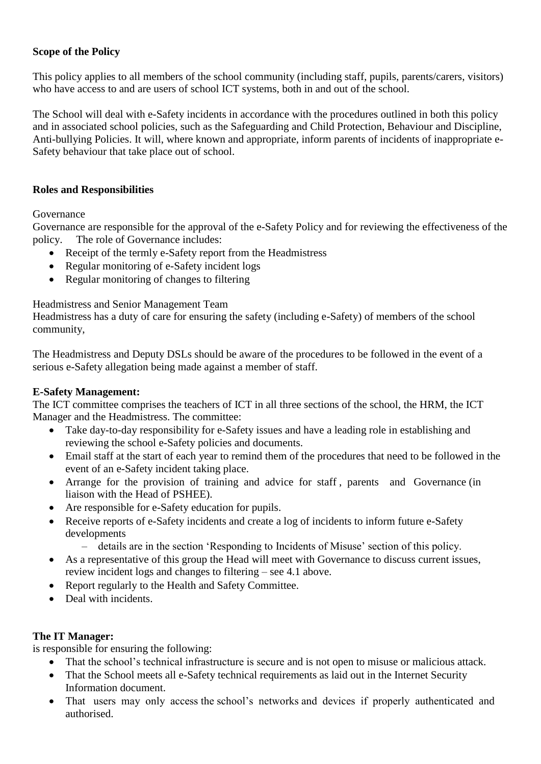# <span id="page-2-0"></span>**Scope of the Policy**

This policy applies to all members of the school community (including staff, pupils, parents/carers, visitors) who have access to and are users of school ICT systems, both in and out of the school.

The School will deal with e-Safety incidents in accordance with the procedures outlined in both this policy and in associated school policies, such as the Safeguarding and Child Protection, Behaviour and Discipline, Anti-bullying Policies. It will, where known and appropriate, inform parents of incidents of inappropriate e-Safety behaviour that take place out of school.

# <span id="page-2-1"></span>**Roles and Responsibilities**

<span id="page-2-2"></span>Governance

Governance are responsible for the approval of the e-Safety Policy and for reviewing the effectiveness of the policy. The role of Governance includes:

- Receipt of the termly e-Safety report from the Headmistress
- Regular monitoring of e-Safety incident logs
- Regular monitoring of changes to filtering

<span id="page-2-3"></span>Headmistress and Senior Management Team

Headmistress has a duty of care for ensuring the safety (including e-Safety) of members of the school community,

The Headmistress and Deputy DSLs should be aware of the procedures to be followed in the event of a serious e-Safety allegation being made against a member of staff.

#### <span id="page-2-4"></span>**E-Safety Management:**

The ICT committee comprises the teachers of ICT in all three sections of the school, the HRM, the ICT Manager and the Headmistress. The committee:

- Take day-to-day responsibility for e-Safety issues and have a leading role in establishing and reviewing the school e-Safety policies and documents.
- Email staff at the start of each year to remind them of the procedures that need to be followed in the event of an e-Safety incident taking place.
- Arrange for the provision of training and advice for staff , parents and Governance (in liaison with the Head of PSHEE).
- Are responsible for e-Safety education for pupils.
- Receive reports of e-Safety incidents and create a log of incidents to inform future e-Safety developments
	- details are in the section 'Responding to Incidents of Misuse' section of this policy.
- As a representative of this group the Head will meet with Governance to discuss current issues, review incident logs and changes to filtering – see 4.1 above.
- Report regularly to the Health and Safety Committee.
- Deal with incidents.

#### <span id="page-2-5"></span>**The IT Manager:**

is responsible for ensuring the following:

- That the school's technical infrastructure is secure and is not open to misuse or malicious attack.
- That the School meets all e-Safety technical requirements as laid out in the Internet Security Information document.
- That users may only access the school's networks and devices if properly authenticated and authorised.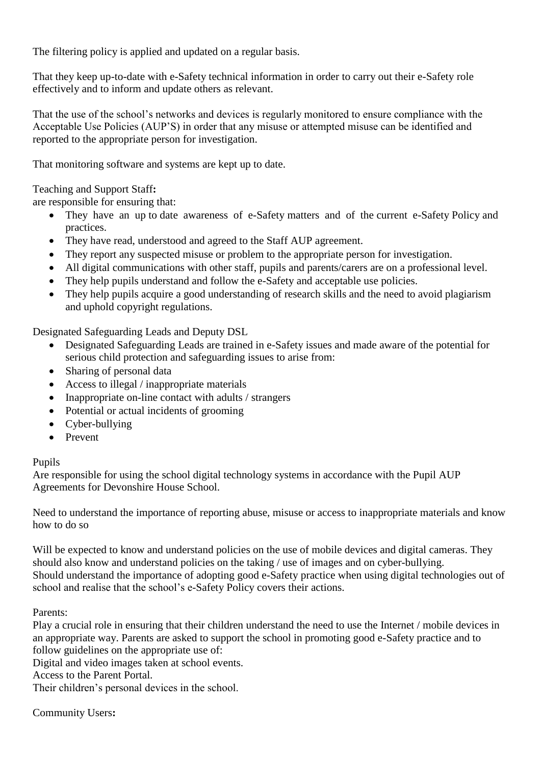The filtering policy is applied and updated on a regular basis.

That they keep up-to-date with e-Safety technical information in order to carry out their e-Safety role effectively and to inform and update others as relevant.

That the use of the school's networks and devices is regularly monitored to ensure compliance with the Acceptable Use Policies (AUP'S) in order that any misuse or attempted misuse can be identified and reported to the appropriate person for investigation.

That monitoring software and systems are kept up to date.

<span id="page-3-0"></span>Teaching and Support Staff**:** 

are responsible for ensuring that:

- They have an up to date awareness of e-Safety matters and of the current e-Safety Policy and practices.
- They have read, understood and agreed to the Staff AUP agreement.
- They report any suspected misuse or problem to the appropriate person for investigation.
- All digital communications with other staff, pupils and parents/carers are on a professional level.
- They help pupils understand and follow the e-Safety and acceptable use policies.
- They help pupils acquire a good understanding of research skills and the need to avoid plagiarism and uphold copyright regulations.

<span id="page-3-1"></span>Designated Safeguarding Leads and Deputy DSL

- Designated Safeguarding Leads are trained in e-Safety issues and made aware of the potential for serious child protection and safeguarding issues to arise from:
- Sharing of personal data
- Access to illegal / inappropriate materials
- Inappropriate on-line contact with adults / strangers
- Potential or actual incidents of grooming
- Cyber-bullying
- Prevent

# <span id="page-3-2"></span>Pupils

Are responsible for using the school digital technology systems in accordance with the Pupil AUP Agreements for Devonshire House School.

Need to understand the importance of reporting abuse, misuse or access to inappropriate materials and know how to do so

Will be expected to know and understand policies on the use of mobile devices and digital cameras. They should also know and understand policies on the taking / use of images and on cyber-bullying. Should understand the importance of adopting good e-Safety practice when using digital technologies out of school and realise that the school's e-Safety Policy covers their actions.

<span id="page-3-3"></span>Parents:

Play a crucial role in ensuring that their children understand the need to use the Internet / mobile devices in an appropriate way. Parents are asked to support the school in promoting good e-Safety practice and to follow guidelines on the appropriate use of:

Digital and video images taken at school events.

Access to the Parent Portal.

Their children's personal devices in the school.

<span id="page-3-4"></span>Community Users**:**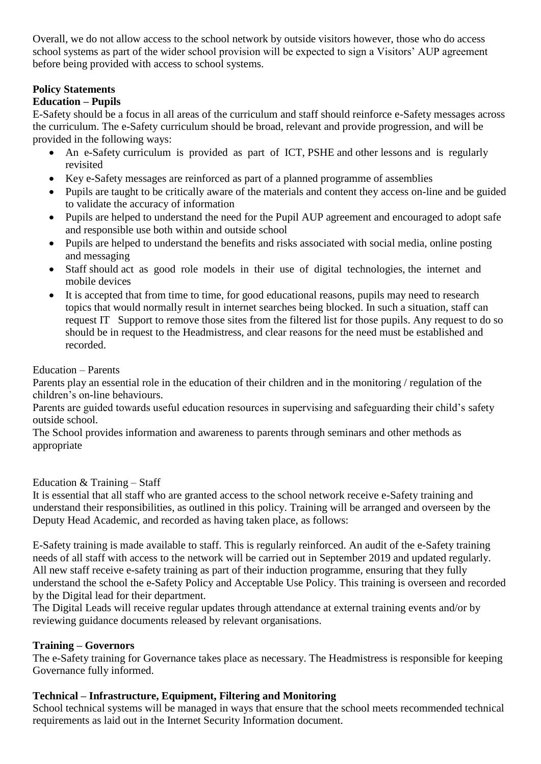Overall, we do not allow access to the school network by outside visitors however, those who do access school systems as part of the wider school provision will be expected to sign a Visitors' AUP agreement before being provided with access to school systems.

# <span id="page-4-0"></span>**Policy Statements**

# <span id="page-4-1"></span>**Education – Pupils**

E-Safety should be a focus in all areas of the curriculum and staff should reinforce e-Safety messages across the curriculum. The e-Safety curriculum should be broad, relevant and provide progression, and will be provided in the following ways:

- An e-Safety curriculum is provided as part of ICT, PSHE and other lessons and is regularly revisited
- Key e-Safety messages are reinforced as part of a planned programme of assemblies
- Pupils are taught to be critically aware of the materials and content they access on-line and be guided to validate the accuracy of information
- Pupils are helped to understand the need for the Pupil AUP agreement and encouraged to adopt safe and responsible use both within and outside school
- Pupils are helped to understand the benefits and risks associated with social media, online posting and messaging
- Staff should act as good role models in their use of digital technologies, the internet and mobile devices
- It is accepted that from time to time, for good educational reasons, pupils may need to research topics that would normally result in internet searches being blocked. In such a situation, staff can request IT Support to remove those sites from the filtered list for those pupils. Any request to do so should be in request to the Headmistress, and clear reasons for the need must be established and recorded.

#### <span id="page-4-2"></span>Education – Parents

Parents play an essential role in the education of their children and in the monitoring / regulation of the children's on-line behaviours.

Parents are guided towards useful education resources in supervising and safeguarding their child's safety outside school.

The School provides information and awareness to parents through seminars and other methods as appropriate

<span id="page-4-3"></span>Education  $&$  Training – Staff

It is essential that all staff who are granted access to the school network receive e-Safety training and understand their responsibilities, as outlined in this policy. Training will be arranged and overseen by the Deputy Head Academic, and recorded as having taken place, as follows:

E-Safety training is made available to staff. This is regularly reinforced. An audit of the e-Safety training needs of all staff with access to the network will be carried out in September 2019 and updated regularly. All new staff receive e-safety training as part of their induction programme, ensuring that they fully understand the school the e-Safety Policy and Acceptable Use Policy. This training is overseen and recorded by the Digital lead for their department.

The Digital Leads will receive regular updates through attendance at external training events and/or by reviewing guidance documents released by relevant organisations.

#### <span id="page-4-4"></span>**Training – Governors**

The e-Safety training for Governance takes place as necessary. The Headmistress is responsible for keeping Governance fully informed.

#### <span id="page-4-5"></span>**Technical – Infrastructure, Equipment, Filtering and Monitoring**

School technical systems will be managed in ways that ensure that the school meets recommended technical requirements as laid out in the Internet Security Information document.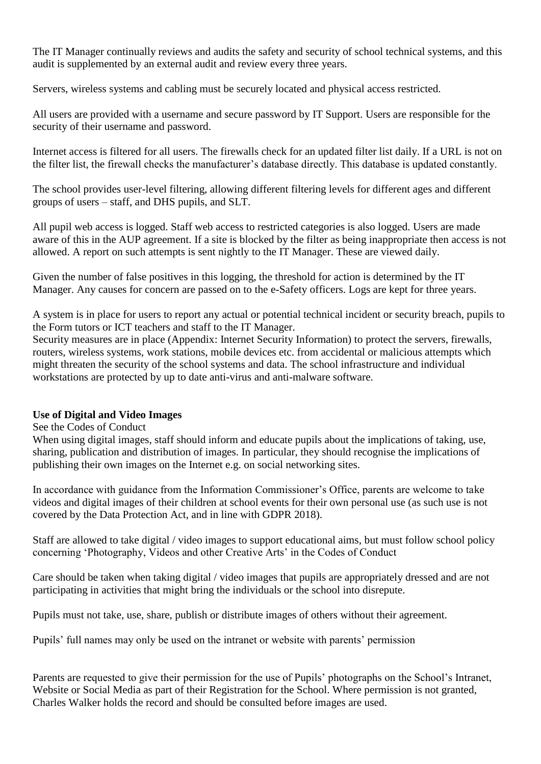The IT Manager continually reviews and audits the safety and security of school technical systems, and this audit is supplemented by an external audit and review every three years.

Servers, wireless systems and cabling must be securely located and physical access restricted.

All users are provided with a username and secure password by IT Support. Users are responsible for the security of their username and password.

Internet access is filtered for all users. The firewalls check for an updated filter list daily. If a URL is not on the filter list, the firewall checks the manufacturer's database directly. This database is updated constantly.

The school provides user-level filtering, allowing different filtering levels for different ages and different groups of users – staff, and DHS pupils, and SLT.

All pupil web access is logged. Staff web access to restricted categories is also logged. Users are made aware of this in the AUP agreement. If a site is blocked by the filter as being inappropriate then access is not allowed. A report on such attempts is sent nightly to the IT Manager. These are viewed daily.

Given the number of false positives in this logging, the threshold for action is determined by the IT Manager. Any causes for concern are passed on to the e-Safety officers. Logs are kept for three years.

A system is in place for users to report any actual or potential technical incident or security breach, pupils to the Form tutors or ICT teachers and staff to the IT Manager.

Security measures are in place (Appendix: Internet Security Information) to protect the servers, firewalls, routers, wireless systems, work stations, mobile devices etc. from accidental or malicious attempts which might threaten the security of the school systems and data. The school infrastructure and individual workstations are protected by up to date anti-virus and anti-malware software.

#### <span id="page-5-0"></span>**Use of Digital and Video Images**

See the Codes of Conduct

When using digital images, staff should inform and educate pupils about the implications of taking, use, sharing, publication and distribution of images. In particular, they should recognise the implications of publishing their own images on the Internet e.g. on social networking sites.

In accordance with guidance from the Information Commissioner's Office, parents are welcome to take videos and digital images of their children at school events for their own personal use (as such use is not covered by the Data Protection Act, and in line with GDPR 2018).

Staff are allowed to take digital / video images to support educational aims, but must follow school policy concerning 'Photography, Videos and other Creative Arts' in the Codes of Conduct

Care should be taken when taking digital / video images that pupils are appropriately dressed and are not participating in activities that might bring the individuals or the school into disrepute.

Pupils must not take, use, share, publish or distribute images of others without their agreement.

Pupils' full names may only be used on the intranet or website with parents' permission

Parents are requested to give their permission for the use of Pupils' photographs on the School's Intranet, Website or Social Media as part of their Registration for the School. Where permission is not granted, Charles Walker holds the record and should be consulted before images are used.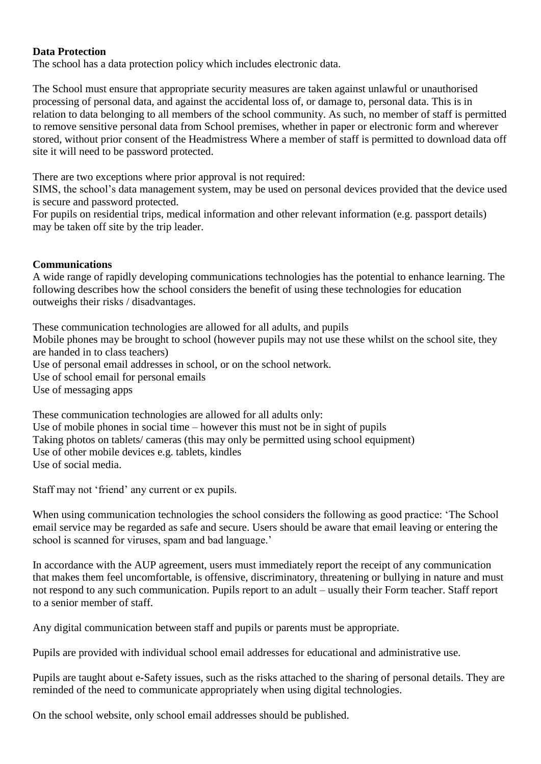#### <span id="page-6-0"></span>**Data Protection**

The school has a data protection policy which includes electronic data.

The School must ensure that appropriate security measures are taken against unlawful or unauthorised processing of personal data, and against the accidental loss of, or damage to, personal data. This is in relation to data belonging to all members of the school community. As such, no member of staff is permitted to remove sensitive personal data from School premises, whether in paper or electronic form and wherever stored, without prior consent of the Headmistress Where a member of staff is permitted to download data off site it will need to be password protected.

There are two exceptions where prior approval is not required:

SIMS, the school's data management system, may be used on personal devices provided that the device used is secure and password protected.

For pupils on residential trips, medical information and other relevant information (e.g. passport details) may be taken off site by the trip leader.

#### <span id="page-6-1"></span>**Communications**

A wide range of rapidly developing communications technologies has the potential to enhance learning. The following describes how the school considers the benefit of using these technologies for education outweighs their risks / disadvantages.

These communication technologies are allowed for all adults, and pupils Mobile phones may be brought to school (however pupils may not use these whilst on the school site, they are handed in to class teachers) Use of personal email addresses in school, or on the school network. Use of school email for personal emails Use of messaging apps

These communication technologies are allowed for all adults only: Use of mobile phones in social time  $-$  however this must not be in sight of pupils Taking photos on tablets/ cameras (this may only be permitted using school equipment) Use of other mobile devices e.g. tablets, kindles Use of social media.

Staff may not 'friend' any current or ex pupils.

When using communication technologies the school considers the following as good practice: 'The School email service may be regarded as safe and secure. Users should be aware that email leaving or entering the school is scanned for viruses, spam and bad language.'

In accordance with the AUP agreement, users must immediately report the receipt of any communication that makes them feel uncomfortable, is offensive, discriminatory, threatening or bullying in nature and must not respond to any such communication. Pupils report to an adult – usually their Form teacher. Staff report to a senior member of staff.

Any digital communication between staff and pupils or parents must be appropriate.

Pupils are provided with individual school email addresses for educational and administrative use.

Pupils are taught about e-Safety issues, such as the risks attached to the sharing of personal details. They are reminded of the need to communicate appropriately when using digital technologies.

On the school website, only school email addresses should be published.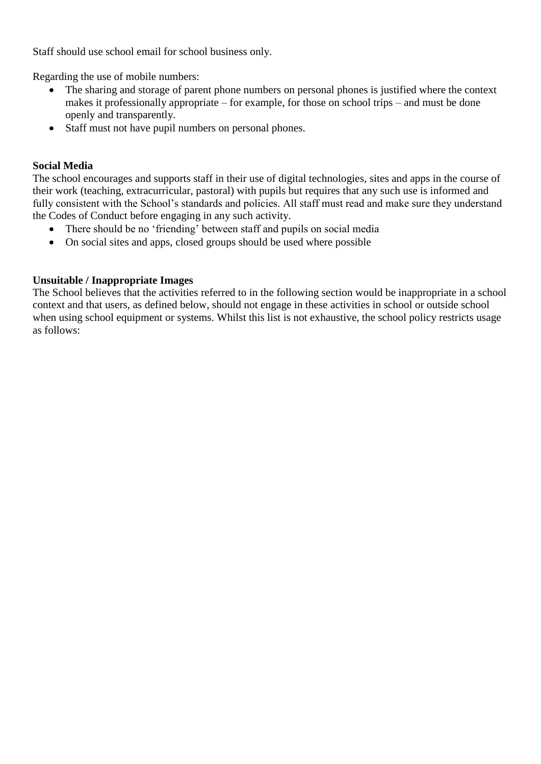Staff should use school email for school business only.

Regarding the use of mobile numbers:

- The sharing and storage of parent phone numbers on personal phones is justified where the context makes it professionally appropriate – for example, for those on school trips – and must be done openly and transparently.
- Staff must not have pupil numbers on personal phones.

#### <span id="page-7-0"></span>**Social Media**

The school encourages and supports staff in their use of digital technologies, sites and apps in the course of their work (teaching, extracurricular, pastoral) with pupils but requires that any such use is informed and fully consistent with the School's standards and policies. All staff must read and make sure they understand the Codes of Conduct before engaging in any such activity.

- There should be no 'friending' between staff and pupils on social media
- On social sites and apps, closed groups should be used where possible

#### <span id="page-7-1"></span>**Unsuitable / Inappropriate Images**

The School believes that the activities referred to in the following section would be inappropriate in a school context and that users, as defined below, should not engage in these activities in school or outside school when using school equipment or systems. Whilst this list is not exhaustive, the school policy restricts usage as follows: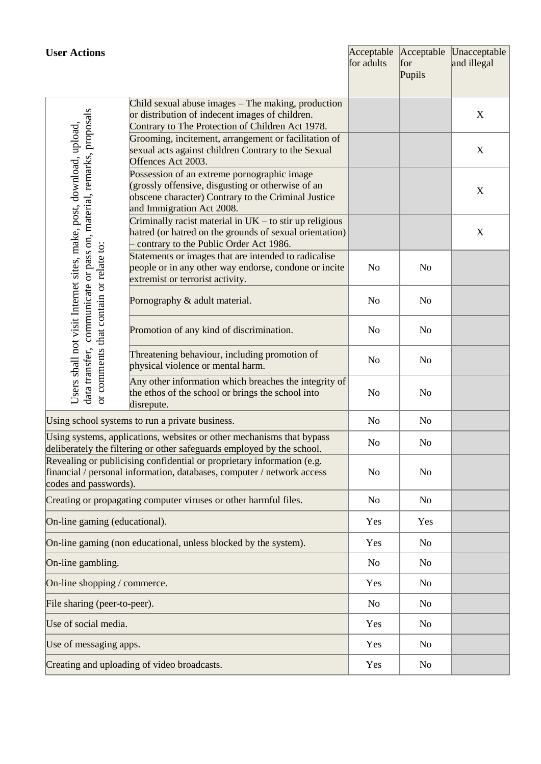<span id="page-8-0"></span>

| <b>User Actions</b>                                                                                                                                                                             |                                                                                                                                                                                      | for adults     | for<br>Pupils  | Acceptable Acceptable Unacceptable<br>and illegal |
|-------------------------------------------------------------------------------------------------------------------------------------------------------------------------------------------------|--------------------------------------------------------------------------------------------------------------------------------------------------------------------------------------|----------------|----------------|---------------------------------------------------|
|                                                                                                                                                                                                 | Child sexual abuse images - The making, production<br>or distribution of indecent images of children.<br>Contrary to The Protection of Children Act 1978.                            |                |                | X                                                 |
|                                                                                                                                                                                                 | Grooming, incitement, arrangement or facilitation of<br>sexual acts against children Contrary to the Sexual<br>Offences Act 2003.                                                    |                |                | $\boldsymbol{X}$                                  |
| communicate or pass on, material, remarks, proposals<br>Users shall not visit Internet sites, make, post, download, upload,<br>data transfer, communicate or pass on, material, remarks, propos | Possession of an extreme pornographic image<br>(grossly offensive, disgusting or otherwise of an<br>obscene character) Contrary to the Criminal Justice<br>and Immigration Act 2008. |                |                | X                                                 |
|                                                                                                                                                                                                 | Criminally racist material in $UK -$ to stir up religious<br>hatred (or hatred on the grounds of sexual orientation)<br>contrary to the Public Order Act 1986.                       |                |                | $\boldsymbol{X}$                                  |
| or comments that contain or relate to:                                                                                                                                                          | Statements or images that are intended to radicalise<br>people or in any other way endorse, condone or incite<br>extremist or terrorist activity.                                    | N <sub>o</sub> | N <sub>0</sub> |                                                   |
|                                                                                                                                                                                                 | Pornography & adult material.                                                                                                                                                        | N <sub>o</sub> | N <sub>0</sub> |                                                   |
|                                                                                                                                                                                                 | Promotion of any kind of discrimination.                                                                                                                                             | N <sub>o</sub> | N <sub>0</sub> |                                                   |
|                                                                                                                                                                                                 | Threatening behaviour, including promotion of<br>physical violence or mental harm.                                                                                                   | N <sub>o</sub> | N <sub>0</sub> |                                                   |
|                                                                                                                                                                                                 | Any other information which breaches the integrity of<br>the ethos of the school or brings the school into<br>disrepute.                                                             | N <sub>o</sub> | N <sub>0</sub> |                                                   |
| Using school systems to run a private business.                                                                                                                                                 |                                                                                                                                                                                      |                | No             |                                                   |
| Using systems, applications, websites or other mechanisms that bypass<br>deliberately the filtering or other safeguards employed by the school                                                  |                                                                                                                                                                                      |                | N <sub>0</sub> |                                                   |
| Revealing or publicising confidential or proprietary information (e.g.<br>financial / personal information, databases, computer / network access<br>codes and passwords).                       |                                                                                                                                                                                      |                | N <sub>0</sub> |                                                   |
|                                                                                                                                                                                                 | Creating or propagating computer viruses or other harmful files.                                                                                                                     | No             | No             |                                                   |
| On-line gaming (educational).                                                                                                                                                                   |                                                                                                                                                                                      | Yes            | Yes            |                                                   |
| On-line gaming (non educational, unless blocked by the system).                                                                                                                                 |                                                                                                                                                                                      |                | No             |                                                   |
| On-line gambling.                                                                                                                                                                               |                                                                                                                                                                                      |                | N <sub>0</sub> |                                                   |
| On-line shopping / commerce.                                                                                                                                                                    |                                                                                                                                                                                      |                | N <sub>o</sub> |                                                   |
| File sharing (peer-to-peer).                                                                                                                                                                    |                                                                                                                                                                                      |                | N <sub>o</sub> |                                                   |
| Use of social media.                                                                                                                                                                            |                                                                                                                                                                                      |                | No             |                                                   |
| Use of messaging apps.                                                                                                                                                                          | Yes                                                                                                                                                                                  | No             |                |                                                   |
| Creating and uploading of video broadcasts.                                                                                                                                                     | Yes                                                                                                                                                                                  | No             |                |                                                   |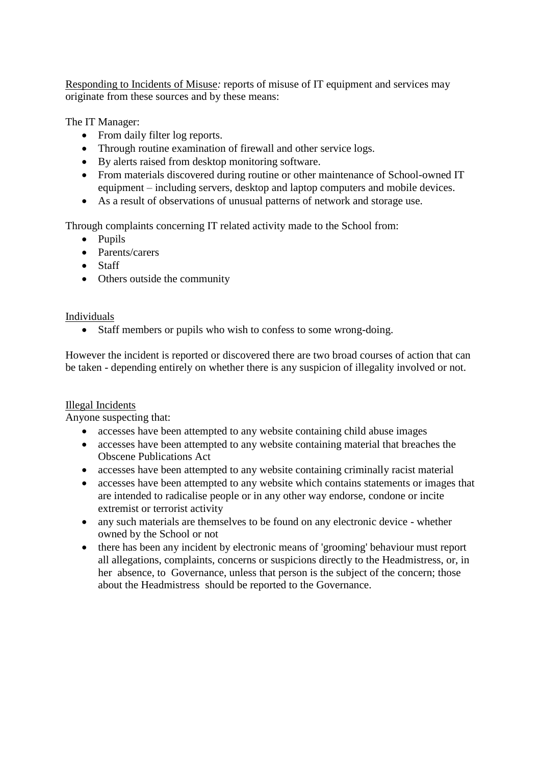Responding to Incidents of Misuse*:* reports of misuse of IT equipment and services may originate from these sources and by these means:

The IT Manager:

- From daily filter log reports.
- Through routine examination of firewall and other service logs.
- By alerts raised from desktop monitoring software.
- From materials discovered during routine or other maintenance of School-owned IT equipment – including servers, desktop and laptop computers and mobile devices.
- As a result of observations of unusual patterns of network and storage use.

Through complaints concerning IT related activity made to the School from:

- Pupils
- Parents/carers
- Staff
- Others outside the community

Individuals

Staff members or pupils who wish to confess to some wrong-doing.

However the incident is reported or discovered there are two broad courses of action that can be taken - depending entirely on whether there is any suspicion of illegality involved or not.

#### Illegal Incidents

Anyone suspecting that:

- accesses have been attempted to any website containing child abuse images
- accesses have been attempted to any website containing material that breaches the Obscene Publications Act
- accesses have been attempted to any website containing criminally racist material
- accesses have been attempted to any website which contains statements or images that are intended to radicalise people or in any other way endorse, condone or incite extremist or terrorist activity
- any such materials are themselves to be found on any electronic device whether owned by the School or not
- there has been any incident by electronic means of 'grooming' behaviour must report all allegations, complaints, concerns or suspicions directly to the Headmistress, or, in her absence, to Governance, unless that person is the subject of the concern; those about the Headmistress should be reported to the Governance.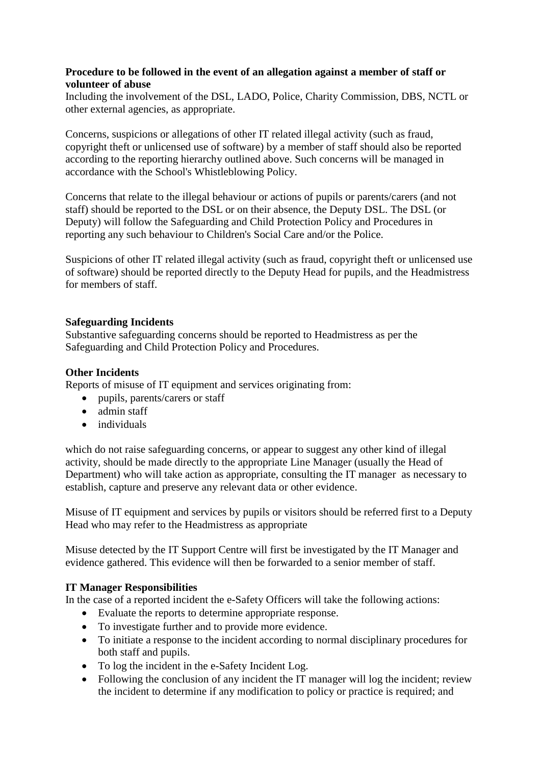#### <span id="page-10-0"></span>**Procedure to be followed in the event of an allegation against a member of staff or volunteer of abuse**

Including the involvement of the DSL, LADO, Police, Charity Commission, DBS, NCTL or other external agencies, as appropriate.

Concerns, suspicions or allegations of other IT related illegal activity (such as fraud, copyright theft or unlicensed use of software) by a member of staff should also be reported according to the reporting hierarchy outlined above. Such concerns will be managed in accordance with the School's Whistleblowing Policy.

Concerns that relate to the illegal behaviour or actions of pupils or parents/carers (and not staff) should be reported to the DSL or on their absence, the Deputy DSL. The DSL (or Deputy) will follow the Safeguarding and Child Protection Policy and Procedures in reporting any such behaviour to Children's Social Care and/or the Police.

Suspicions of other IT related illegal activity (such as fraud, copyright theft or unlicensed use of software) should be reported directly to the Deputy Head for pupils, and the Headmistress for members of staff.

#### <span id="page-10-1"></span>**Safeguarding Incidents**

Substantive safeguarding concerns should be reported to Headmistress as per the Safeguarding and Child Protection Policy and Procedures.

#### <span id="page-10-2"></span>**Other Incidents**

Reports of misuse of IT equipment and services originating from:

- pupils, parents/carers or staff
- admin staff
- individuals

which do not raise safeguarding concerns, or appear to suggest any other kind of illegal activity, should be made directly to the appropriate Line Manager (usually the Head of Department) who will take action as appropriate, consulting the IT manager as necessary to establish, capture and preserve any relevant data or other evidence.

Misuse of IT equipment and services by pupils or visitors should be referred first to a Deputy Head who may refer to the Headmistress as appropriate

Misuse detected by the IT Support Centre will first be investigated by the IT Manager and evidence gathered. This evidence will then be forwarded to a senior member of staff.

#### <span id="page-10-3"></span>**IT Manager Responsibilities**

In the case of a reported incident the e-Safety Officers will take the following actions:

- Evaluate the reports to determine appropriate response.
- To investigate further and to provide more evidence.
- To initiate a response to the incident according to normal disciplinary procedures for both staff and pupils.
- To log the incident in the e-Safety Incident Log.
- Following the conclusion of any incident the IT manager will log the incident; review the incident to determine if any modification to policy or practice is required; and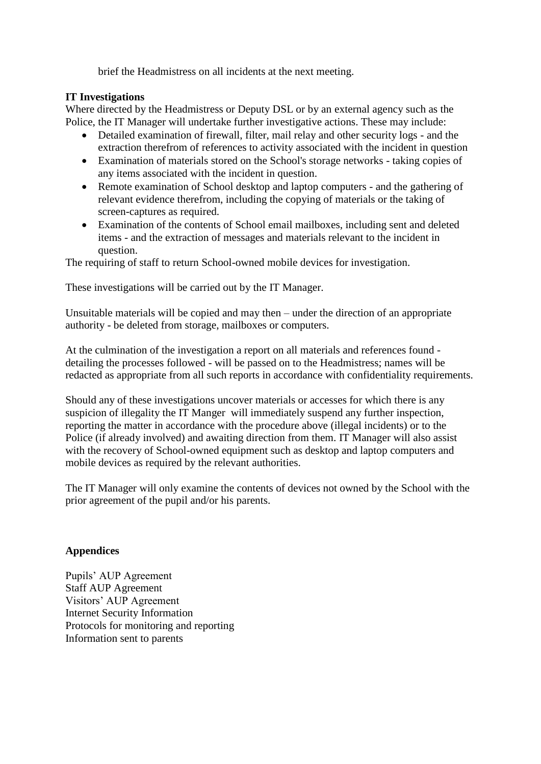brief the Headmistress on all incidents at the next meeting.

#### <span id="page-11-0"></span>**IT Investigations**

Where directed by the Headmistress or Deputy DSL or by an external agency such as the Police, the IT Manager will undertake further investigative actions. These may include:

- Detailed examination of firewall, filter, mail relay and other security logs and the extraction therefrom of references to activity associated with the incident in question
- Examination of materials stored on the School's storage networks taking copies of any items associated with the incident in question.
- Remote examination of School desktop and laptop computers and the gathering of relevant evidence therefrom, including the copying of materials or the taking of screen-captures as required.
- Examination of the contents of School email mailboxes, including sent and deleted items - and the extraction of messages and materials relevant to the incident in question.

The requiring of staff to return School-owned mobile devices for investigation.

These investigations will be carried out by the IT Manager.

Unsuitable materials will be copied and may then – under the direction of an appropriate authority - be deleted from storage, mailboxes or computers.

At the culmination of the investigation a report on all materials and references found detailing the processes followed - will be passed on to the Headmistress; names will be redacted as appropriate from all such reports in accordance with confidentiality requirements.

Should any of these investigations uncover materials or accesses for which there is any suspicion of illegality the IT Manger will immediately suspend any further inspection, reporting the matter in accordance with the procedure above (illegal incidents) or to the Police (if already involved) and awaiting direction from them. IT Manager will also assist with the recovery of School-owned equipment such as desktop and laptop computers and mobile devices as required by the relevant authorities.

The IT Manager will only examine the contents of devices not owned by the School with the prior agreement of the pupil and/or his parents.

#### <span id="page-11-1"></span>**Appendices**

Pupils' AUP Agreement Staff AUP Agreement Visitors' AUP Agreement Internet Security Information Protocols for monitoring and reporting Information sent to parents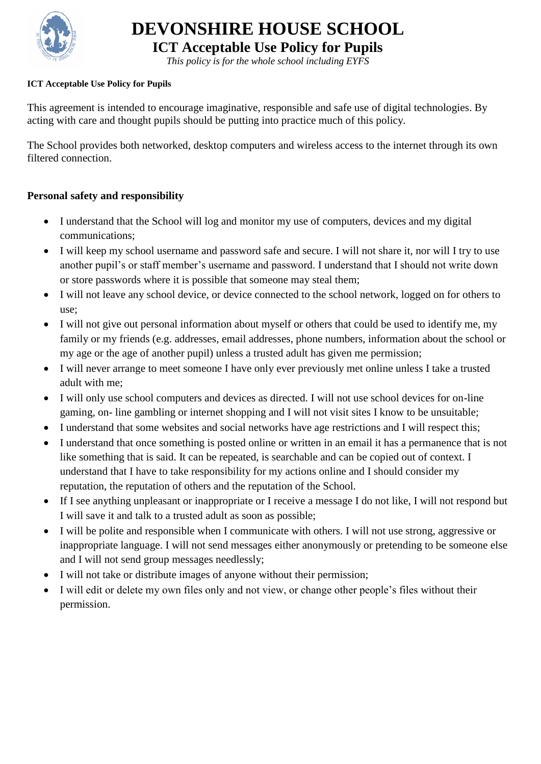

**ICT Acceptable Use Policy for Pupils**

*This policy is for the whole school including EYFS*

#### <span id="page-12-0"></span>**ICT Acceptable Use Policy for Pupils**

This agreement is intended to encourage imaginative, responsible and safe use of digital technologies. By acting with care and thought pupils should be putting into practice much of this policy.

The School provides both networked, desktop computers and wireless access to the internet through its own filtered connection.

#### **Personal safety and responsibility**

- I understand that the School will log and monitor my use of computers, devices and my digital communications;
- I will keep my school username and password safe and secure. I will not share it, nor will I try to use another pupil's or staff member's username and password. I understand that I should not write down or store passwords where it is possible that someone may steal them;
- I will not leave any school device, or device connected to the school network, logged on for others to use;
- I will not give out personal information about myself or others that could be used to identify me, my family or my friends (e.g. addresses, email addresses, phone numbers, information about the school or my age or the age of another pupil) unless a trusted adult has given me permission;
- I will never arrange to meet someone I have only ever previously met online unless I take a trusted adult with me;
- I will only use school computers and devices as directed. I will not use school devices for on-line gaming, on- line gambling or internet shopping and I will not visit sites I know to be unsuitable;
- I understand that some websites and social networks have age restrictions and I will respect this;
- I understand that once something is posted online or written in an email it has a permanence that is not like something that is said. It can be repeated, is searchable and can be copied out of context. I understand that I have to take responsibility for my actions online and I should consider my reputation, the reputation of others and the reputation of the School.
- If I see anything unpleasant or inappropriate or I receive a message I do not like, I will not respond but I will save it and talk to a trusted adult as soon as possible;
- I will be polite and responsible when I communicate with others. I will not use strong, aggressive or inappropriate language. I will not send messages either anonymously or pretending to be someone else and I will not send group messages needlessly;
- I will not take or distribute images of anyone without their permission;
- I will edit or delete my own files only and not view, or change other people's files without their permission.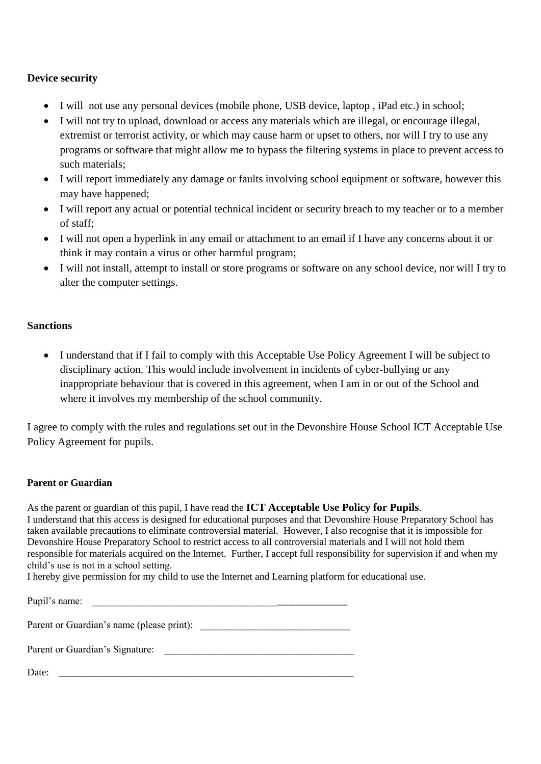#### **Device security**

- I will not use any personal devices (mobile phone, USB device, laptop , iPad etc.) in school;
- I will not try to upload, download or access any materials which are illegal, or encourage illegal, extremist or terrorist activity, or which may cause harm or upset to others, nor will I try to use any programs or software that might allow me to bypass the filtering systems in place to prevent access to such materials;
- I will report immediately any damage or faults involving school equipment or software, however this may have happened;
- I will report any actual or potential technical incident or security breach to my teacher or to a member of staff;
- I will not open a hyperlink in any email or attachment to an email if I have any concerns about it or think it may contain a virus or other harmful program;
- I will not install, attempt to install or store programs or software on any school device, nor will I try to alter the computer settings.

#### **Sanctions**

 I understand that if I fail to comply with this Acceptable Use Policy Agreement I will be subject to disciplinary action. This would include involvement in incidents of cyber-bullying or any inappropriate behaviour that is covered in this agreement, when I am in or out of the School and where it involves my membership of the school community.

I agree to comply with the rules and regulations set out in the Devonshire House School ICT Acceptable Use Policy Agreement for pupils.

#### **Parent or Guardian**

As the parent or guardian of this pupil, I have read the **ICT Acceptable Use Policy for Pupils**. I understand that this access is designed for educational purposes and that Devonshire House Preparatory School has taken available precautions to eliminate controversial material. However, I also recognise that it is impossible for Devonshire House Preparatory School to restrict access to all controversial materials and I will not hold them responsible for materials acquired on the Internet. Further, I accept full responsibility for supervision if and when my child's use is not in a school setting.

I hereby give permission for my child to use the Internet and Learning platform for educational use.

| Pupil's name:                             |
|-------------------------------------------|
| Parent or Guardian's name (please print): |
| Parent or Guardian's Signature:           |
| Date:                                     |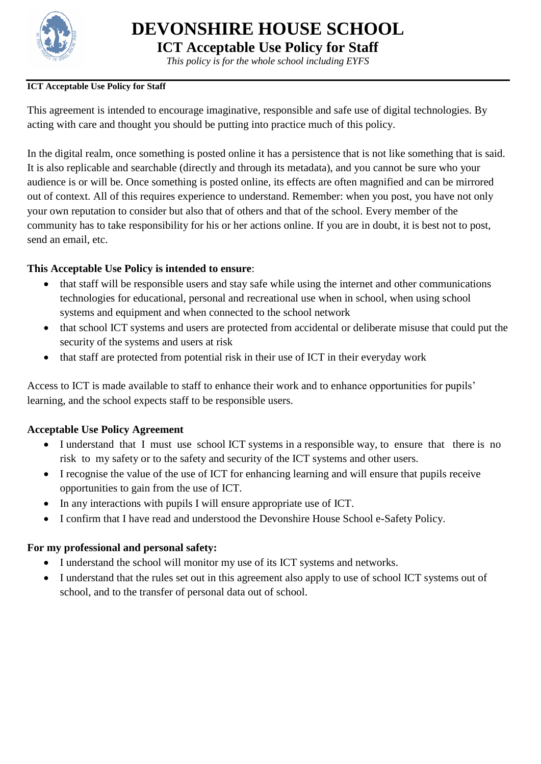

**ICT Acceptable Use Policy for Staff**

*This policy is for the whole school including EYFS*

#### <span id="page-14-0"></span>**ICT Acceptable Use Policy for Staff**

This agreement is intended to encourage imaginative, responsible and safe use of digital technologies. By acting with care and thought you should be putting into practice much of this policy.

In the digital realm, once something is posted online it has a persistence that is not like something that is said. It is also replicable and searchable (directly and through its metadata), and you cannot be sure who your audience is or will be. Once something is posted online, its effects are often magnified and can be mirrored out of context. All of this requires experience to understand. Remember: when you post, you have not only your own reputation to consider but also that of others and that of the school. Every member of the community has to take responsibility for his or her actions online. If you are in doubt, it is best not to post, send an email, etc.

# **This Acceptable Use Policy is intended to ensure**:

- that staff will be responsible users and stay safe while using the internet and other communications technologies for educational, personal and recreational use when in school, when using school systems and equipment and when connected to the school network
- that school ICT systems and users are protected from accidental or deliberate misuse that could put the security of the systems and users at risk
- that staff are protected from potential risk in their use of ICT in their everyday work

Access to ICT is made available to staff to enhance their work and to enhance opportunities for pupils' learning, and the school expects staff to be responsible users.

#### **Acceptable Use Policy Agreement**

- I understand that I must use school ICT systems in a responsible way, to ensure that there is no risk to my safety or to the safety and security of the ICT systems and other users.
- I recognise the value of the use of ICT for enhancing learning and will ensure that pupils receive opportunities to gain from the use of ICT.
- In any interactions with pupils I will ensure appropriate use of ICT.
- I confirm that I have read and understood the Devonshire House School e-Safety Policy.

# **For my professional and personal safety:**

- I understand the school will monitor my use of its ICT systems and networks.
- I understand that the rules set out in this agreement also apply to use of school ICT systems out of school, and to the transfer of personal data out of school.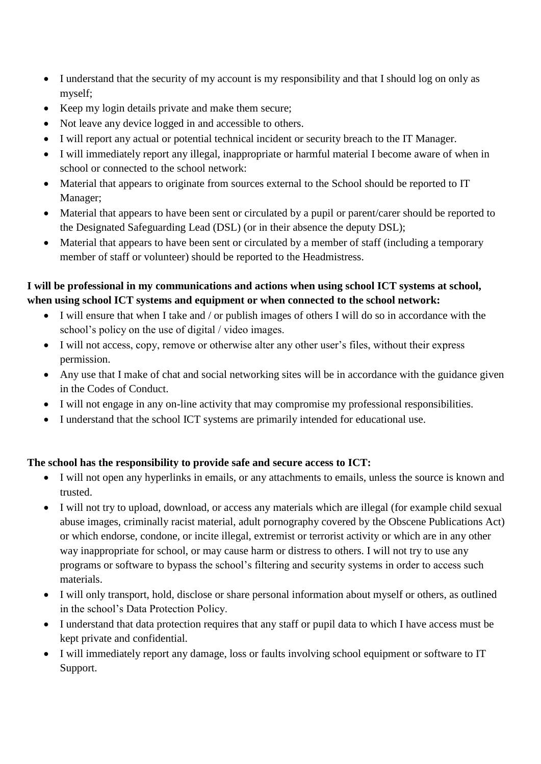- I understand that the security of my account is my responsibility and that I should log on only as myself;
- Keep my login details private and make them secure;
- Not leave any device logged in and accessible to others.
- I will report any actual or potential technical incident or security breach to the IT Manager.
- I will immediately report any illegal, inappropriate or harmful material I become aware of when in school or connected to the school network:
- Material that appears to originate from sources external to the School should be reported to IT Manager;
- Material that appears to have been sent or circulated by a pupil or parent/carer should be reported to the Designated Safeguarding Lead (DSL) (or in their absence the deputy DSL);
- Material that appears to have been sent or circulated by a member of staff (including a temporary member of staff or volunteer) should be reported to the Headmistress.

# **I will be professional in my communications and actions when using school ICT systems at school, when using school ICT systems and equipment or when connected to the school network:**

- I will ensure that when I take and / or publish images of others I will do so in accordance with the school's policy on the use of digital / video images.
- I will not access, copy, remove or otherwise alter any other user's files, without their express permission.
- Any use that I make of chat and social networking sites will be in accordance with the guidance given in the Codes of Conduct.
- I will not engage in any on-line activity that may compromise my professional responsibilities.
- I understand that the school ICT systems are primarily intended for educational use.

# **The school has the responsibility to provide safe and secure access to ICT:**

- I will not open any hyperlinks in emails, or any attachments to emails, unless the source is known and trusted.
- I will not try to upload, download, or access any materials which are illegal (for example child sexual abuse images, criminally racist material, adult pornography covered by the Obscene Publications Act) or which endorse, condone, or incite illegal, extremist or terrorist activity or which are in any other way inappropriate for school, or may cause harm or distress to others. I will not try to use any programs or software to bypass the school's filtering and security systems in order to access such materials.
- I will only transport, hold, disclose or share personal information about myself or others, as outlined in the school's Data Protection Policy.
- I understand that data protection requires that any staff or pupil data to which I have access must be kept private and confidential.
- I will immediately report any damage, loss or faults involving school equipment or software to IT Support.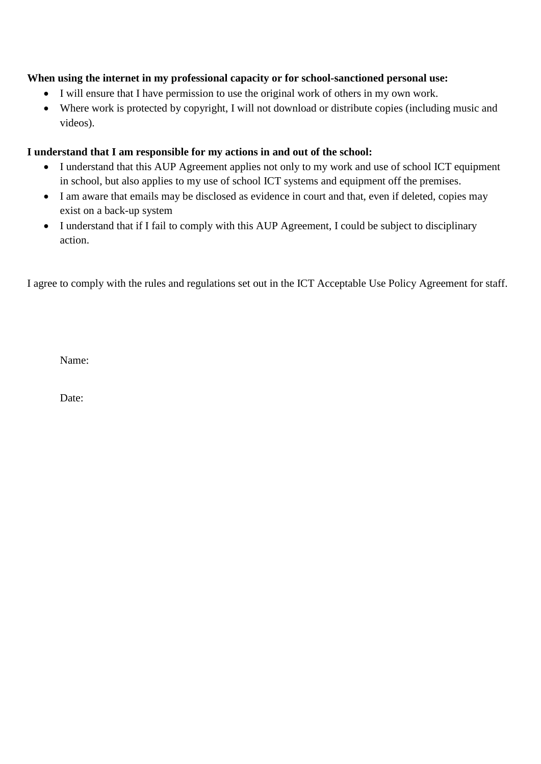# **When using the internet in my professional capacity or for school-sanctioned personal use:**

- I will ensure that I have permission to use the original work of others in my own work.
- Where work is protected by copyright, I will not download or distribute copies (including music and videos).

# **I understand that I am responsible for my actions in and out of the school:**

- I understand that this AUP Agreement applies not only to my work and use of school ICT equipment in school, but also applies to my use of school ICT systems and equipment off the premises.
- I am aware that emails may be disclosed as evidence in court and that, even if deleted, copies may exist on a back-up system
- I understand that if I fail to comply with this AUP Agreement, I could be subject to disciplinary action.

I agree to comply with the rules and regulations set out in the ICT Acceptable Use Policy Agreement for staff.

Name:

Date: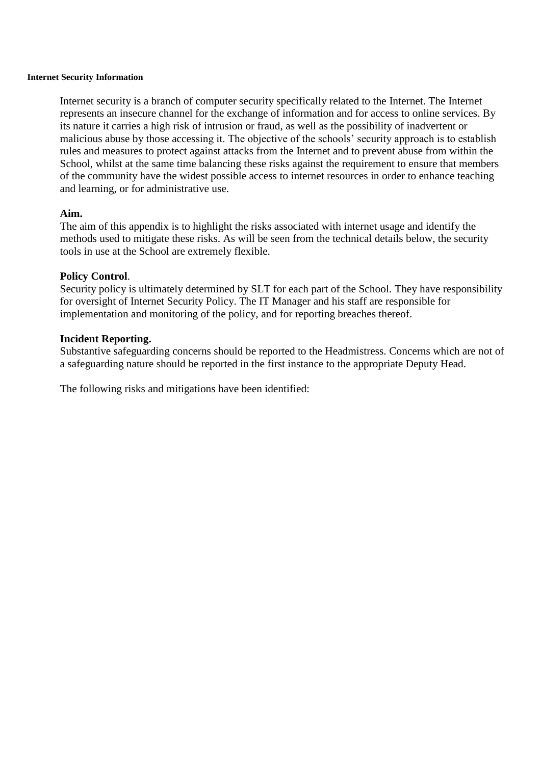#### <span id="page-17-0"></span>**Internet Security Information**

Internet security is a branch of computer security specifically related to the Internet. The Internet represents an insecure channel for the exchange of information and for access to online services. By its nature it carries a high risk of intrusion or fraud, as well as the possibility of inadvertent or malicious abuse by those accessing it. The objective of the schools' security approach is to establish rules and measures to protect against attacks from the Internet and to prevent abuse from within the School, whilst at the same time balancing these risks against the requirement to ensure that members of the community have the widest possible access to internet resources in order to enhance teaching and learning, or for administrative use.

#### **Aim.**

The aim of this appendix is to highlight the risks associated with internet usage and identify the methods used to mitigate these risks. As will be seen from the technical details below, the security tools in use at the School are extremely flexible.

#### **Policy Control**.

Security policy is ultimately determined by SLT for each part of the School. They have responsibility for oversight of Internet Security Policy. The IT Manager and his staff are responsible for implementation and monitoring of the policy, and for reporting breaches thereof.

#### **Incident Reporting.**

Substantive safeguarding concerns should be reported to the Headmistress. Concerns which are not of a safeguarding nature should be reported in the first instance to the appropriate Deputy Head.

The following risks and mitigations have been identified: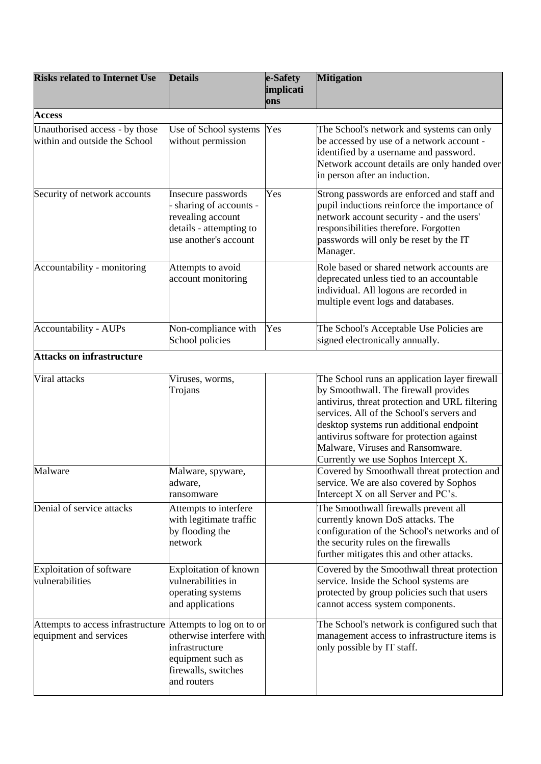| <b>Risks related to Internet Use</b>                                                 | <b>Details</b>                                                                                                       | e-Safety<br>implicati | <b>Mitigation</b>                                                                                                                                                                                                                                                                                                                                        |
|--------------------------------------------------------------------------------------|----------------------------------------------------------------------------------------------------------------------|-----------------------|----------------------------------------------------------------------------------------------------------------------------------------------------------------------------------------------------------------------------------------------------------------------------------------------------------------------------------------------------------|
|                                                                                      |                                                                                                                      | ons                   |                                                                                                                                                                                                                                                                                                                                                          |
| <b>Access</b>                                                                        |                                                                                                                      |                       |                                                                                                                                                                                                                                                                                                                                                          |
| Unauthorised access - by those<br>within and outside the School                      | Use of School systems<br>without permission                                                                          | Yes                   | The School's network and systems can only<br>be accessed by use of a network account -<br>identified by a username and password.<br>Network account details are only handed over<br>in person after an induction.                                                                                                                                        |
| Security of network accounts                                                         | Insecure passwords<br>sharing of accounts -<br>revealing account<br>details - attempting to<br>use another's account | Yes                   | Strong passwords are enforced and staff and<br>pupil inductions reinforce the importance of<br>network account security - and the users'<br>responsibilities therefore. Forgotten<br>passwords will only be reset by the IT<br>Manager.                                                                                                                  |
| Accountability - monitoring                                                          | Attempts to avoid<br>account monitoring                                                                              |                       | Role based or shared network accounts are<br>deprecated unless tied to an accountable<br>individual. All logons are recorded in<br>multiple event logs and databases.                                                                                                                                                                                    |
| <b>Accountability - AUPs</b>                                                         | Non-compliance with<br>School policies                                                                               | Yes                   | The School's Acceptable Use Policies are<br>signed electronically annually.                                                                                                                                                                                                                                                                              |
| <b>Attacks on infrastructure</b>                                                     |                                                                                                                      |                       |                                                                                                                                                                                                                                                                                                                                                          |
| Viral attacks                                                                        | Viruses, worms,<br>Trojans                                                                                           |                       | The School runs an application layer firewall<br>by Smoothwall. The firewall provides<br>antivirus, threat protection and URL filtering<br>services. All of the School's servers and<br>desktop systems run additional endpoint<br>antivirus software for protection against<br>Malware, Viruses and Ransomware.<br>Currently we use Sophos Intercept X. |
| Malware                                                                              | Malware, spyware,<br>adware,<br>ransomware                                                                           |                       | Covered by Smoothwall threat protection and<br>service. We are also covered by Sophos<br>Intercept X on all Server and PC's.                                                                                                                                                                                                                             |
| Denial of service attacks                                                            | Attempts to interfere<br>with legitimate traffic<br>by flooding the<br>network                                       |                       | The Smoothwall firewalls prevent all<br>currently known DoS attacks. The<br>configuration of the School's networks and of<br>the security rules on the firewalls<br>further mitigates this and other attacks.                                                                                                                                            |
| Exploitation of software<br>vulnerabilities                                          | Exploitation of known<br>vulnerabilities in<br>operating systems<br>and applications                                 |                       | Covered by the Smoothwall threat protection<br>service. Inside the School systems are<br>protected by group policies such that users<br>cannot access system components.                                                                                                                                                                                 |
| Attempts to access infrastructure Attempts to log on to or<br>equipment and services | otherwise interfere with<br>infrastructure<br>equipment such as<br>firewalls, switches<br>and routers                |                       | The School's network is configured such that<br>management access to infrastructure items is<br>only possible by IT staff.                                                                                                                                                                                                                               |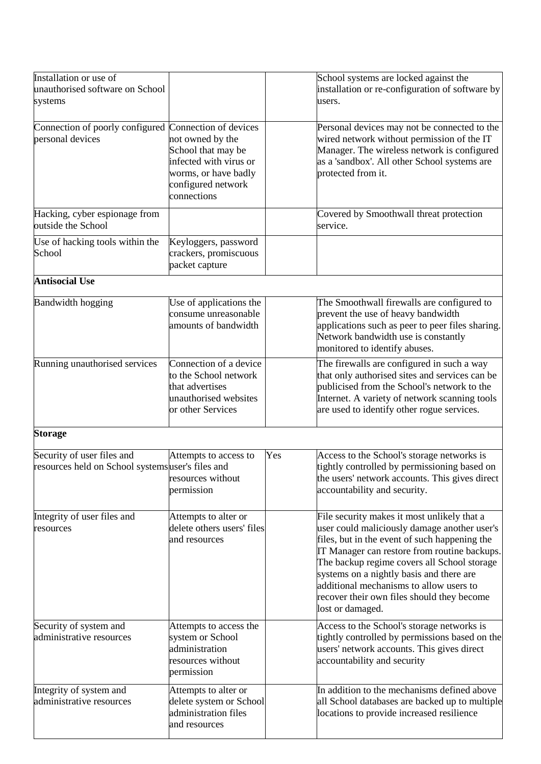| Installation or use of<br>unauthorised software on School<br>systems            |                                                                                                                                                        |     | School systems are locked against the<br>installation or re-configuration of software by<br>users.                                                                                                                                                                                                                                                                                                   |
|---------------------------------------------------------------------------------|--------------------------------------------------------------------------------------------------------------------------------------------------------|-----|------------------------------------------------------------------------------------------------------------------------------------------------------------------------------------------------------------------------------------------------------------------------------------------------------------------------------------------------------------------------------------------------------|
| Connection of poorly configured<br>personal devices                             | Connection of devices<br>not owned by the<br>School that may be<br>infected with virus or<br>worms, or have badly<br>configured network<br>connections |     | Personal devices may not be connected to the<br>wired network without permission of the IT<br>Manager. The wireless network is configured<br>as a 'sandbox'. All other School systems are<br>protected from it.                                                                                                                                                                                      |
| Hacking, cyber espionage from<br>outside the School                             |                                                                                                                                                        |     | Covered by Smoothwall threat protection<br>service.                                                                                                                                                                                                                                                                                                                                                  |
| Use of hacking tools within the<br>School                                       | Keyloggers, password<br>crackers, promiscuous<br>packet capture                                                                                        |     |                                                                                                                                                                                                                                                                                                                                                                                                      |
| <b>Antisocial Use</b>                                                           |                                                                                                                                                        |     |                                                                                                                                                                                                                                                                                                                                                                                                      |
| <b>Bandwidth hogging</b>                                                        | Use of applications the<br>consume unreasonable<br>amounts of bandwidth                                                                                |     | The Smoothwall firewalls are configured to<br>prevent the use of heavy bandwidth<br>applications such as peer to peer files sharing.<br>Network bandwidth use is constantly<br>monitored to identify abuses.                                                                                                                                                                                         |
| Running unauthorised services                                                   | Connection of a device<br>to the School network<br>that advertises<br>unauthorised websites<br>or other Services                                       |     | The firewalls are configured in such a way<br>that only authorised sites and services can be<br>publicised from the School's network to the<br>Internet. A variety of network scanning tools<br>are used to identify other rogue services.                                                                                                                                                           |
| <b>Storage</b>                                                                  |                                                                                                                                                        |     |                                                                                                                                                                                                                                                                                                                                                                                                      |
| Security of user files and<br>resources held on School systems user's files and | Attempts to access to<br>resources without<br>permission                                                                                               | Yes | Access to the School's storage networks is<br>tightly controlled by permissioning based on<br>the users' network accounts. This gives direct<br>accountability and security.                                                                                                                                                                                                                         |
| Integrity of user files and<br>resources                                        | Attempts to alter or<br>delete others users' files<br>and resources                                                                                    |     | File security makes it most unlikely that a<br>user could maliciously damage another user's<br>files, but in the event of such happening the<br>IT Manager can restore from routine backups.<br>The backup regime covers all School storage<br>systems on a nightly basis and there are<br>additional mechanisms to allow users to<br>recover their own files should they become<br>lost or damaged. |
| Security of system and<br>administrative resources                              | Attempts to access the<br>system or School<br>administration<br>resources without<br>permission                                                        |     | Access to the School's storage networks is<br>tightly controlled by permissions based on the<br>users' network accounts. This gives direct<br>accountability and security                                                                                                                                                                                                                            |
| Integrity of system and<br>administrative resources                             | Attempts to alter or<br>delete system or School<br>administration files<br>and resources                                                               |     | In addition to the mechanisms defined above<br>all School databases are backed up to multiple<br>locations to provide increased resilience                                                                                                                                                                                                                                                           |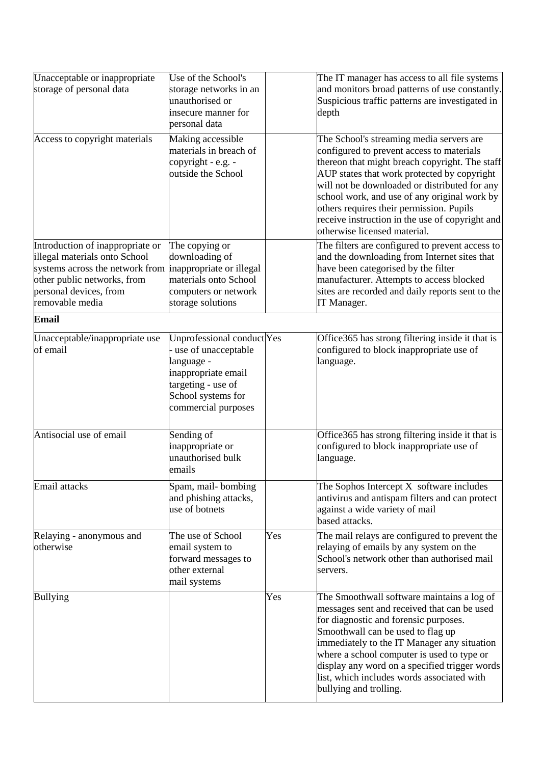| Unacceptable or inappropriate<br>storage of personal data                                                                                                                        | Use of the School's<br>storage networks in an<br>unauthorised or<br>insecure manner for<br>personal data                                                  |     | The IT manager has access to all file systems<br>and monitors broad patterns of use constantly.<br>Suspicious traffic patterns are investigated in<br>depth                                                                                                                                                                                                                                                            |
|----------------------------------------------------------------------------------------------------------------------------------------------------------------------------------|-----------------------------------------------------------------------------------------------------------------------------------------------------------|-----|------------------------------------------------------------------------------------------------------------------------------------------------------------------------------------------------------------------------------------------------------------------------------------------------------------------------------------------------------------------------------------------------------------------------|
| Access to copyright materials                                                                                                                                                    | Making accessible<br>materials in breach of<br>copyright - e.g. -<br>outside the School                                                                   |     | The School's streaming media servers are<br>configured to prevent access to materials<br>thereon that might breach copyright. The staff<br>AUP states that work protected by copyright<br>will not be downloaded or distributed for any<br>school work, and use of any original work by<br>others requires their permission. Pupils<br>receive instruction in the use of copyright and<br>otherwise licensed material. |
| Introduction of inappropriate or<br>illegal materials onto School<br>systems across the network from<br>other public networks, from<br>personal devices, from<br>removable media | The copying or<br>downloading of<br>inappropriate or illegal<br>materials onto School<br>computers or network<br>storage solutions                        |     | The filters are configured to prevent access to<br>and the downloading from Internet sites that<br>have been categorised by the filter<br>manufacturer. Attempts to access blocked<br>sites are recorded and daily reports sent to the<br>IT Manager.                                                                                                                                                                  |
| <b>Email</b>                                                                                                                                                                     |                                                                                                                                                           |     |                                                                                                                                                                                                                                                                                                                                                                                                                        |
| Unacceptable/inappropriate use<br>of email                                                                                                                                       | Unprofessional conduct Yes<br>use of unacceptable<br>language -<br>inappropriate email<br>targeting - use of<br>School systems for<br>commercial purposes |     | Office 365 has strong filtering inside it that is<br>configured to block inappropriate use of<br>language.                                                                                                                                                                                                                                                                                                             |
| Antisocial use of email                                                                                                                                                          | Sending of<br>inappropriate or<br>unauthorised bulk<br>emails                                                                                             |     | Office 365 has strong filtering inside it that is<br>configured to block inappropriate use of<br>language.                                                                                                                                                                                                                                                                                                             |
| Email attacks                                                                                                                                                                    | Spam, mail-bombing<br>and phishing attacks,<br>use of botnets                                                                                             |     | The Sophos Intercept X software includes<br>antivirus and antispam filters and can protect<br>against a wide variety of mail<br>based attacks.                                                                                                                                                                                                                                                                         |
| Relaying - anonymous and<br>otherwise                                                                                                                                            | The use of School<br>email system to<br>forward messages to<br>other external<br>mail systems                                                             | Yes | The mail relays are configured to prevent the<br>relaying of emails by any system on the<br>School's network other than authorised mail<br>servers.                                                                                                                                                                                                                                                                    |
| <b>Bullying</b>                                                                                                                                                                  |                                                                                                                                                           | Yes | The Smoothwall software maintains a log of<br>messages sent and received that can be used<br>for diagnostic and forensic purposes.<br>Smoothwall can be used to flag up<br>immediately to the IT Manager any situation<br>where a school computer is used to type or<br>display any word on a specified trigger words<br>list, which includes words associated with<br>bullying and trolling.                          |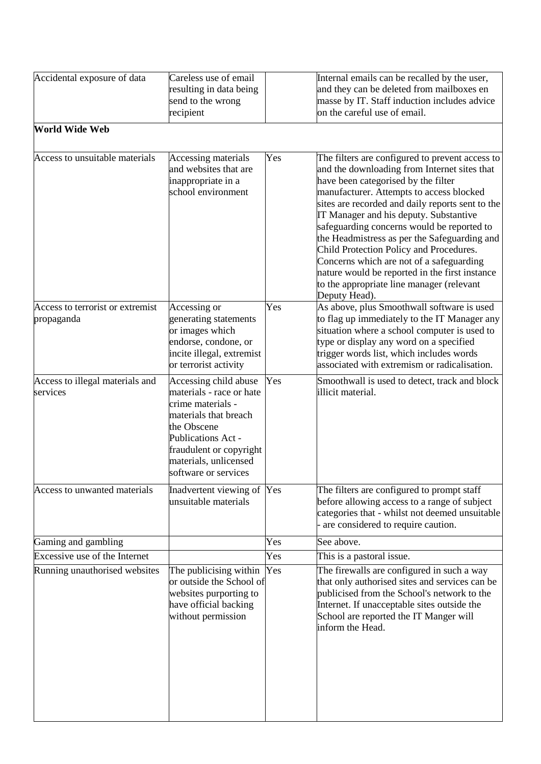| Accidental exposure of data                    | Careless use of email<br>resulting in data being<br>send to the wrong<br>recipient                                                                                                                               |     | Internal emails can be recalled by the user,<br>and they can be deleted from mailboxes en<br>masse by IT. Staff induction includes advice<br>on the careful use of email.                                                                                                                                                                                                                                                                                                                                                                                                             |
|------------------------------------------------|------------------------------------------------------------------------------------------------------------------------------------------------------------------------------------------------------------------|-----|---------------------------------------------------------------------------------------------------------------------------------------------------------------------------------------------------------------------------------------------------------------------------------------------------------------------------------------------------------------------------------------------------------------------------------------------------------------------------------------------------------------------------------------------------------------------------------------|
| <b>World Wide Web</b>                          |                                                                                                                                                                                                                  |     |                                                                                                                                                                                                                                                                                                                                                                                                                                                                                                                                                                                       |
| Access to unsuitable materials                 | Accessing materials<br>and websites that are<br>inappropriate in a<br>school environment                                                                                                                         | Yes | The filters are configured to prevent access to<br>and the downloading from Internet sites that<br>have been categorised by the filter<br>manufacturer. Attempts to access blocked<br>sites are recorded and daily reports sent to the<br>IT Manager and his deputy. Substantive<br>safeguarding concerns would be reported to<br>the Headmistress as per the Safeguarding and<br>Child Protection Policy and Procedures.<br>Concerns which are not of a safeguarding<br>nature would be reported in the first instance<br>to the appropriate line manager (relevant<br>Deputy Head). |
| Access to terrorist or extremist<br>propaganda | Accessing or<br>generating statements<br>or images which<br>endorse, condone, or<br>incite illegal, extremist<br>or terrorist activity                                                                           | Yes | As above, plus Smoothwall software is used<br>to flag up immediately to the IT Manager any<br>situation where a school computer is used to<br>type or display any word on a specified<br>trigger words list, which includes words<br>associated with extremism or radicalisation.                                                                                                                                                                                                                                                                                                     |
| Access to illegal materials and<br>services    | Accessing child abuse<br>materials - race or hate<br>crime materials -<br>materials that breach<br>the Obscene<br>Publications Act -<br>fraudulent or copyright<br>materials, unlicensed<br>software or services | Yes | Smoothwall is used to detect, track and block<br>illicit material.                                                                                                                                                                                                                                                                                                                                                                                                                                                                                                                    |
| Access to unwanted materials                   | Inadvertent viewing of Yes<br>unsuitable materials                                                                                                                                                               |     | The filters are configured to prompt staff<br>before allowing access to a range of subject<br>categories that - whilst not deemed unsuitable<br>are considered to require caution.                                                                                                                                                                                                                                                                                                                                                                                                    |
| Gaming and gambling                            |                                                                                                                                                                                                                  | Yes | See above.                                                                                                                                                                                                                                                                                                                                                                                                                                                                                                                                                                            |
| Excessive use of the Internet                  |                                                                                                                                                                                                                  | Yes | This is a pastoral issue.                                                                                                                                                                                                                                                                                                                                                                                                                                                                                                                                                             |
| Running unauthorised websites                  | The publicising within<br>or outside the School of<br>websites purporting to<br>have official backing<br>without permission                                                                                      | Yes | The firewalls are configured in such a way<br>that only authorised sites and services can be<br>publicised from the School's network to the<br>Internet. If unacceptable sites outside the<br>School are reported the IT Manger will<br>inform the Head.                                                                                                                                                                                                                                                                                                                              |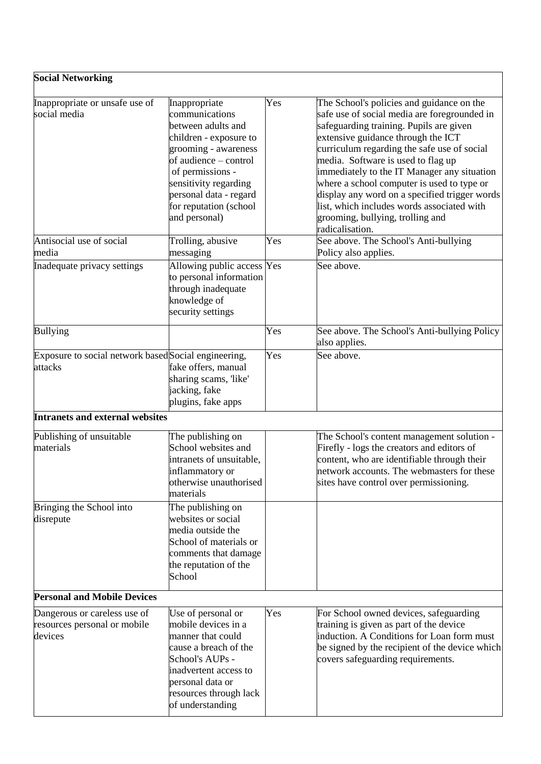| <b>Social Networking</b>                                                |                                                                                                                                                                                                                                                    |     |                                                                                                                                                                                                                                                                                                                                                                                                                                                                                                                    |
|-------------------------------------------------------------------------|----------------------------------------------------------------------------------------------------------------------------------------------------------------------------------------------------------------------------------------------------|-----|--------------------------------------------------------------------------------------------------------------------------------------------------------------------------------------------------------------------------------------------------------------------------------------------------------------------------------------------------------------------------------------------------------------------------------------------------------------------------------------------------------------------|
| Inappropriate or unsafe use of<br>social media                          | Inappropriate<br>communications<br>between adults and<br>children - exposure to<br>grooming - awareness<br>of audience – control<br>of permissions -<br>sensitivity regarding<br>personal data - regard<br>for reputation (school<br>and personal) | Yes | The School's policies and guidance on the<br>safe use of social media are foregrounded in<br>safeguarding training. Pupils are given<br>extensive guidance through the ICT<br>curriculum regarding the safe use of social<br>media. Software is used to flag up<br>immediately to the IT Manager any situation<br>where a school computer is used to type or<br>display any word on a specified trigger words<br>list, which includes words associated with<br>grooming, bullying, trolling and<br>radicalisation. |
| Antisocial use of social                                                | Trolling, abusive                                                                                                                                                                                                                                  | Yes | See above. The School's Anti-bullying                                                                                                                                                                                                                                                                                                                                                                                                                                                                              |
| media                                                                   | messaging                                                                                                                                                                                                                                          |     | Policy also applies.                                                                                                                                                                                                                                                                                                                                                                                                                                                                                               |
| Inadequate privacy settings                                             | Allowing public access Yes<br>to personal information<br>through inadequate<br>knowledge of<br>security settings                                                                                                                                   |     | See above.                                                                                                                                                                                                                                                                                                                                                                                                                                                                                                         |
| <b>Bullying</b>                                                         |                                                                                                                                                                                                                                                    | Yes | See above. The School's Anti-bullying Policy<br>also applies.                                                                                                                                                                                                                                                                                                                                                                                                                                                      |
| Exposure to social network based Social engineering,<br>attacks         | fake offers, manual<br>sharing scams, 'like'<br>jacking, fake<br>plugins, fake apps                                                                                                                                                                | Yes | See above.                                                                                                                                                                                                                                                                                                                                                                                                                                                                                                         |
| <b>Intranets and external websites</b>                                  |                                                                                                                                                                                                                                                    |     |                                                                                                                                                                                                                                                                                                                                                                                                                                                                                                                    |
| Publishing of unsuitable<br>materials                                   | The publishing on<br>School websites and<br>intranets of unsuitable,<br>inflammatory or<br>otherwise unauthorised<br>materials                                                                                                                     |     | The School's content management solution -<br>Firefly - logs the creators and editors of<br>content, who are identifiable through their<br>network accounts. The webmasters for these<br>sites have control over permissioning.                                                                                                                                                                                                                                                                                    |
| Bringing the School into<br>disrepute                                   | The publishing on<br>websites or social<br>media outside the<br>School of materials or<br>comments that damage<br>the reputation of the<br>School                                                                                                  |     |                                                                                                                                                                                                                                                                                                                                                                                                                                                                                                                    |
| <b>Personal and Mobile Devices</b>                                      |                                                                                                                                                                                                                                                    |     |                                                                                                                                                                                                                                                                                                                                                                                                                                                                                                                    |
| Dangerous or careless use of<br>resources personal or mobile<br>devices | Use of personal or<br>mobile devices in a<br>manner that could<br>cause a breach of the<br>School's AUPs -<br>inadvertent access to<br>personal data or<br>resources through lack<br>of understanding                                              | Yes | For School owned devices, safeguarding<br>training is given as part of the device<br>induction. A Conditions for Loan form must<br>be signed by the recipient of the device which<br>covers safeguarding requirements.                                                                                                                                                                                                                                                                                             |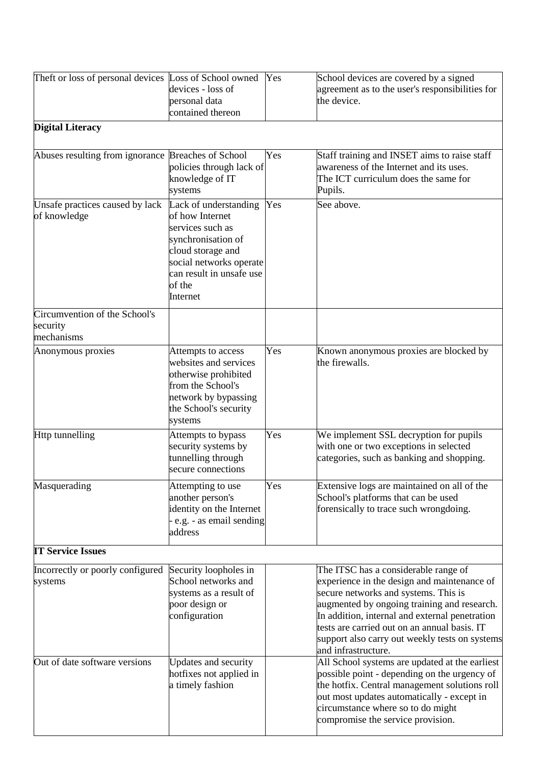| Theft or loss of personal devices Loss of School owned  | devices - loss of<br>personal data<br>contained thereon                                                                                                                              | Yes | School devices are covered by a signed<br>agreement as to the user's responsibilities for<br>the device.                                                                                                                                                                                                                                              |
|---------------------------------------------------------|--------------------------------------------------------------------------------------------------------------------------------------------------------------------------------------|-----|-------------------------------------------------------------------------------------------------------------------------------------------------------------------------------------------------------------------------------------------------------------------------------------------------------------------------------------------------------|
| <b>Digital Literacy</b>                                 |                                                                                                                                                                                      |     |                                                                                                                                                                                                                                                                                                                                                       |
| Abuses resulting from ignorance Breaches of School      | policies through lack of<br>knowledge of IT<br>systems                                                                                                                               | Yes | Staff training and INSET aims to raise staff<br>awareness of the Internet and its uses.<br>The ICT curriculum does the same for<br>Pupils.                                                                                                                                                                                                            |
| Unsafe practices caused by lack<br>of knowledge         | Lack of understanding<br>of how Internet<br>services such as<br>synchronisation of<br>cloud storage and<br>social networks operate<br>can result in unsafe use<br>of the<br>Internet | Yes | See above.                                                                                                                                                                                                                                                                                                                                            |
| Circumvention of the School's<br>security<br>mechanisms |                                                                                                                                                                                      |     |                                                                                                                                                                                                                                                                                                                                                       |
| Anonymous proxies                                       | Attempts to access<br>websites and services<br>otherwise prohibited<br>from the School's<br>network by bypassing<br>the School's security<br>systems                                 | Yes | Known anonymous proxies are blocked by<br>the firewalls.                                                                                                                                                                                                                                                                                              |
| <b>Http tunnelling</b>                                  | Attempts to bypass<br>security systems by<br>tunnelling through<br>secure connections                                                                                                | Yes | We implement SSL decryption for pupils<br>with one or two exceptions in selected<br>categories, such as banking and shopping.                                                                                                                                                                                                                         |
| Masquerading                                            | Attempting to use<br>another person's<br>identity on the Internet<br>e.g. - as email sending<br>address                                                                              | Yes | Extensive logs are maintained on all of the<br>School's platforms that can be used<br>forensically to trace such wrongdoing.                                                                                                                                                                                                                          |
| <b>IT Service Issues</b>                                |                                                                                                                                                                                      |     |                                                                                                                                                                                                                                                                                                                                                       |
| Incorrectly or poorly configured<br>systems             | Security loopholes in<br>School networks and<br>systems as a result of<br>poor design or<br>configuration                                                                            |     | The ITSC has a considerable range of<br>experience in the design and maintenance of<br>secure networks and systems. This is<br>augmented by ongoing training and research.<br>In addition, internal and external penetration<br>tests are carried out on an annual basis. IT<br>support also carry out weekly tests on systems<br>and infrastructure. |
| Out of date software versions                           | Updates and security<br>hotfixes not applied in<br>a timely fashion                                                                                                                  |     | All School systems are updated at the earliest<br>possible point - depending on the urgency of<br>the hotfix. Central management solutions roll<br>out most updates automatically - except in<br>circumstance where so to do might<br>compromise the service provision.                                                                               |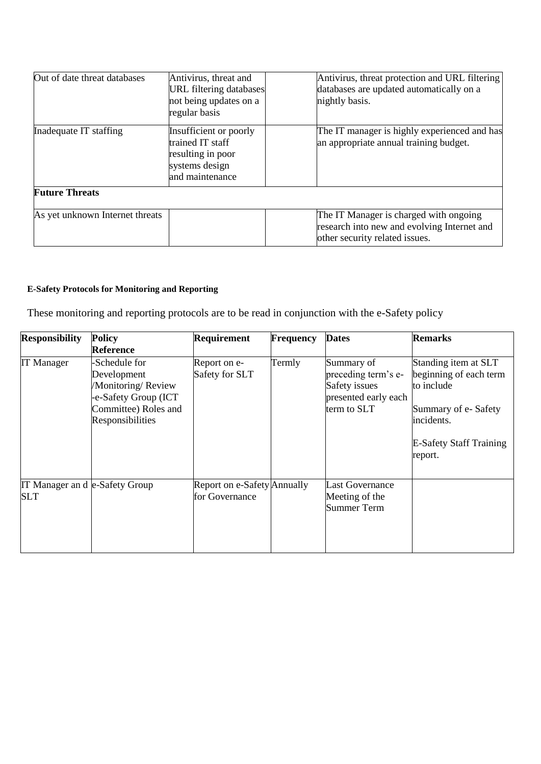| Out of date threat databases    | Antivirus, threat and<br><b>URL</b> filtering databases<br>not being updates on a<br>regular basis   | Antivirus, threat protection and URL filtering<br>databases are updated automatically on a<br>nightly basis.            |
|---------------------------------|------------------------------------------------------------------------------------------------------|-------------------------------------------------------------------------------------------------------------------------|
| Inadequate IT staffing          | Insufficient or poorly<br>trained IT staff<br>resulting in poor<br>systems design<br>and maintenance | The IT manager is highly experienced and has<br>an appropriate annual training budget.                                  |
| <b>Future Threats</b>           |                                                                                                      |                                                                                                                         |
| As yet unknown Internet threats |                                                                                                      | The IT Manager is charged with ongoing<br>research into new and evolving Internet and<br>other security related issues. |

# <span id="page-24-0"></span>**E-Safety Protocols for Monitoring and Reporting**

These monitoring and reporting protocols are to be read in conjunction with the e-Safety policy

| <b>Responsibility</b>                | <b>Policy</b><br><b>Reference</b>                                                                                      | <b>Requirement</b>                            | Frequency | <b>Dates</b>                                                                              | <b>Remarks</b>                                                                                                                                 |
|--------------------------------------|------------------------------------------------------------------------------------------------------------------------|-----------------------------------------------|-----------|-------------------------------------------------------------------------------------------|------------------------------------------------------------------------------------------------------------------------------------------------|
| <b>IT Manager</b>                    | -Schedule for<br>Development<br>/Monitoring/Review<br>-e-Safety Group (ICT<br>Committee) Roles and<br>Responsibilities | Report on e-<br>Safety for SLT                | Termly    | Summary of<br>preceding term's e-<br>Safety issues<br>presented early each<br>term to SLT | Standing item at SLT<br>beginning of each term<br>to include<br>Summary of e-Safety<br>incidents.<br><b>E-Safety Staff Training</b><br>report. |
| IT Manager and e-Safety Group<br>SLT |                                                                                                                        | Report on e-Safety Annually<br>for Governance |           | <b>Last Governance</b><br>Meeting of the<br><b>Summer Term</b>                            |                                                                                                                                                |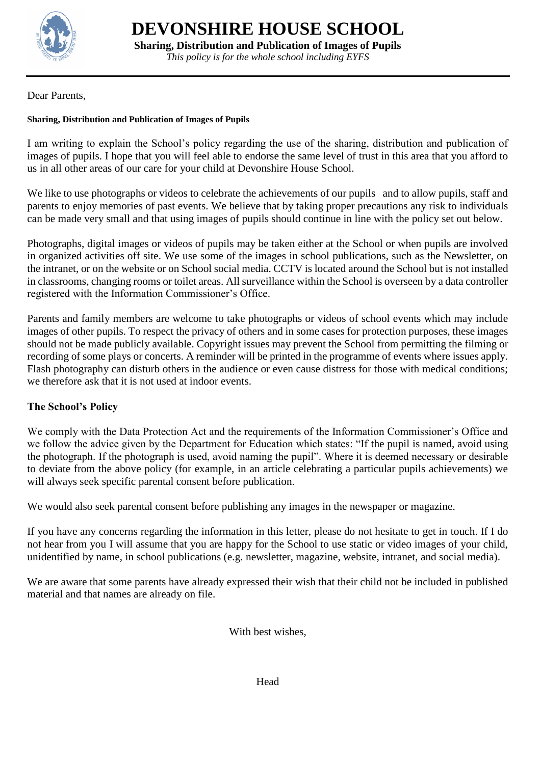

**Sharing, Distribution and Publication of Images of Pupils**

*This policy is for the whole school including EYFS*

Dear Parents,

#### <span id="page-25-0"></span>**Sharing, Distribution and Publication of Images of Pupils**

I am writing to explain the School's policy regarding the use of the sharing, distribution and publication of images of pupils. I hope that you will feel able to endorse the same level of trust in this area that you afford to us in all other areas of our care for your child at Devonshire House School.

We like to use photographs or videos to celebrate the achievements of our pupils and to allow pupils, staff and parents to enjoy memories of past events. We believe that by taking proper precautions any risk to individuals can be made very small and that using images of pupils should continue in line with the policy set out below.

Photographs, digital images or videos of pupils may be taken either at the School or when pupils are involved in organized activities off site. We use some of the images in school publications, such as the Newsletter, on the intranet, or on the website or on School social media. CCTV is located around the School but is not installed in classrooms, changing rooms or toilet areas. All surveillance within the School is overseen by a data controller registered with the Information Commissioner's Office.

Parents and family members are welcome to take photographs or videos of school events which may include images of other pupils. To respect the privacy of others and in some cases for protection purposes, these images should not be made publicly available. Copyright issues may prevent the School from permitting the filming or recording of some plays or concerts. A reminder will be printed in the programme of events where issues apply. Flash photography can disturb others in the audience or even cause distress for those with medical conditions; we therefore ask that it is not used at indoor events.

#### **The School's Policy**

We comply with the Data Protection Act and the requirements of the Information Commissioner's Office and we follow the advice given by the Department for Education which states: "If the pupil is named, avoid using the photograph. If the photograph is used, avoid naming the pupil". Where it is deemed necessary or desirable to deviate from the above policy (for example, in an article celebrating a particular pupils achievements) we will always seek specific parental consent before publication.

We would also seek parental consent before publishing any images in the newspaper or magazine.

If you have any concerns regarding the information in this letter, please do not hesitate to get in touch. If I do not hear from you I will assume that you are happy for the School to use static or video images of your child, unidentified by name, in school publications (e.g. newsletter, magazine, website, intranet, and social media).

We are aware that some parents have already expressed their wish that their child not be included in published material and that names are already on file.

With best wishes,

Head